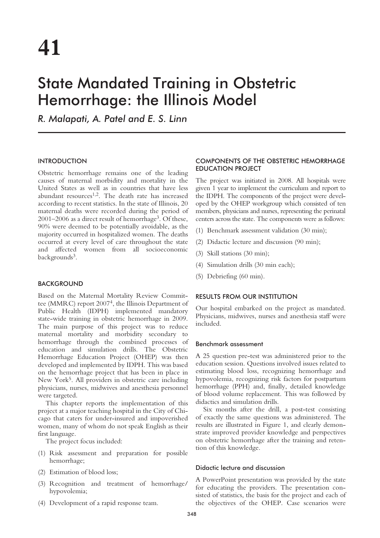# State Mandated Training in Obstetric Hemorrhage: the Illinois Model

*R. Malapati, A. Patel and E. S. Linn*

## INTRODUCTION

Obstetric hemorrhage remains one of the leading causes of maternal morbidity and mortality in the United States as well as in countries that have less abundant resources1,2. The death rate has increased according to recent statistics. In the state of Illinois, 20 maternal deaths were recorded during the period of 2001–2006 as a direct result of hemorrhage3. Of these, 90% were deemed to be potentially avoidable, as the majority occurred in hospitalized women. The deaths occurred at every level of care throughout the state and affected women from all socioeconomic backgrounds<sup>3</sup>.

## **BACKGROUND**

Based on the Maternal Mortality Review Committee (MMRC) report 20074, the Illinois Department of Public Health (IDPH) implemented mandatory state-wide training in obstetric hemorrhage in 2009. The main purpose of this project was to reduce maternal mortality and morbidity secondary to hemorrhage through the combined processes of education and simulation drills. The Obstetric Hemorrhage Education Project (OHEP) was then developed and implemented by IDPH. This was based on the hemorrhage project that has been in place in New York5. All providers in obstetric care including physicians, nurses, midwives and anesthesia personnel were targeted.

This chapter reports the implementation of this project at a major teaching hospital in the City of Chicago that caters for under-insured and impoverished women, many of whom do not speak English as their first language.

The project focus included:

- (1) Risk assessment and preparation for possible hemorrhage;
- (2) Estimation of blood loss;
- (3) Recognition and treatment of hemorrhage/ hypovolemia;
- (4) Development of a rapid response team.

## COMPONENTS OF THE OBSTETRIC HEMORRHAGE EDUCATION PROJECT

The project was initiated in 2008. All hospitals were given 1 year to implement the curriculum and report to the IDPH. The components of the project were developed by the OHEP workgroup which consisted of ten members, physicians and nurses, representing the perinatal centers across the state. The components were as follows:

- (1) Benchmark assessment validation (30 min);
- (2) Didactic lecture and discussion (90 min);
- (3) Skill stations (30 min);
- (4) Simulation drills (30 min each);
- (5) Debriefing (60 min).

## RESULTS FROM OUR INSTITUTION

Our hospital embarked on the project as mandated. Physicians, midwives, nurses and anesthesia staff were included.

#### Benchmark assessment

A 25 question pre-test was administered prior to the education session. Questions involved issues related to estimating blood loss, recognizing hemorrhage and hypovolemia, recognizing risk factors for postpartum hemorrhage (PPH) and, finally, detailed knowledge of blood volume replacement. This was followed by didactics and simulation drills.

Six months after the drill, a post-test consisting of exactly the same questions was administered. The results are illustrated in Figure 1, and clearly demonstrate improved provider knowledge and perspectives on obstetric hemorrhage after the training and retention of this knowledge.

#### Didactic lecture and discussion

A PowerPoint presentation was provided by the state for educating the providers. The presentation consisted of statistics, the basis for the project and each of the objectives of the OHEP. Case scenarios were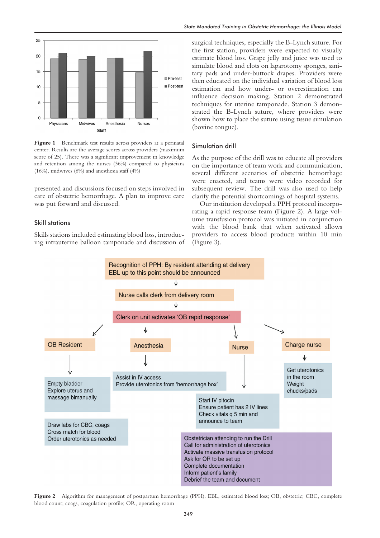

Figure 1 Benchmark test results across providers at a perinatal center. Results are the average scores across providers (maximum score of 25). There was a significant improvement in knowledge and retention among the nurses (36%) compared to physicians (16%), midwives  $(8\%)$  and anesthesia staff  $(4\%)$ 

presented and discussions focused on steps involved in care of obstetric hemorrhage. A plan to improve care was put forward and discussed.

## Skill stations

Skills stations included estimating blood loss, introducing intrauterine balloon tamponade and discussion of surgical techniques, especially the B-Lynch suture. For the first station, providers were expected to visually estimate blood loss. Grape jelly and juice was used to simulate blood and clots on laparotomy sponges, sanitary pads and under-buttock drapes. Providers were then educated on the individual variation of blood loss estimation and how under- or overestimation can influence decision making. Station 2 demonstrated techniques for uterine tamponade. Station 3 demonstrated the B-Lynch suture, where providers were shown how to place the suture using tissue simulation (bovine tongue).

#### Simulation drill

As the purpose of the drill was to educate all providers on the importance of team work and communication, several different scenarios of obstetric hemorrhage were enacted, and teams were video recorded for subsequent review. The drill was also used to help clarify the potential shortcomings of hospital systems.

Our institution developed a PPH protocol incorporating a rapid response team (Figure 2). A large volume transfusion protocol was initiated in conjunction with the blood bank that when activated allows providers to access blood products within 10 min (Figure 3).



**Figure 2** Algorithm for management of postpartum hemorrhage (PPH). EBL, estimated blood loss; OB, obstetric; CBC, complete blood count; coags, coagulation profile; OR, operating room